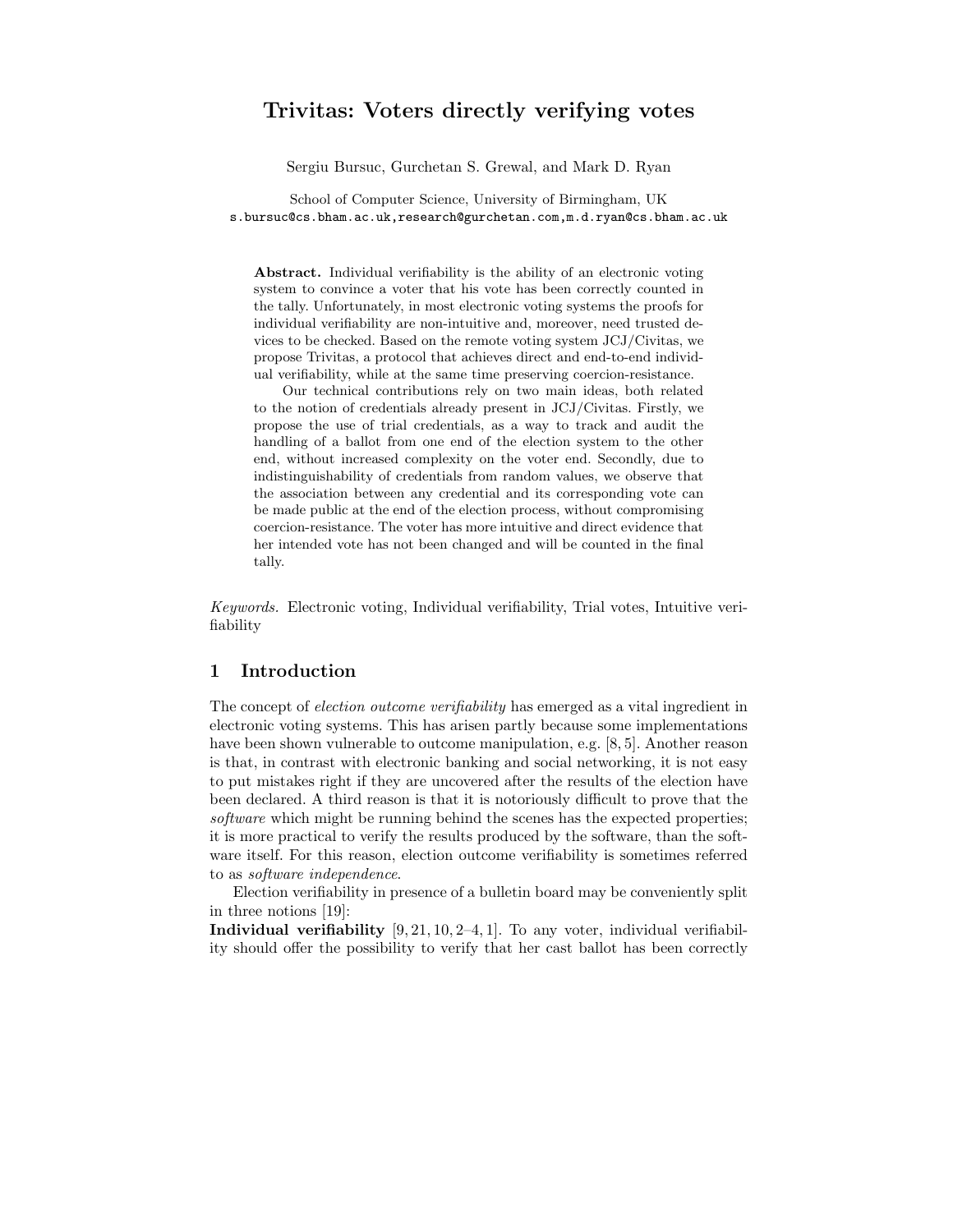# Trivitas: Voters directly verifying votes

Sergiu Bursuc, Gurchetan S. Grewal, and Mark D. Ryan

School of Computer Science, University of Birmingham, UK s.bursuc@cs.bham.ac.uk,research@gurchetan.com,m.d.ryan@cs.bham.ac.uk

Abstract. Individual verifiability is the ability of an electronic voting system to convince a voter that his vote has been correctly counted in the tally. Unfortunately, in most electronic voting systems the proofs for individual verifiability are non-intuitive and, moreover, need trusted devices to be checked. Based on the remote voting system JCJ/Civitas, we propose Trivitas, a protocol that achieves direct and end-to-end individual verifiability, while at the same time preserving coercion-resistance.

Our technical contributions rely on two main ideas, both related to the notion of credentials already present in JCJ/Civitas. Firstly, we propose the use of trial credentials, as a way to track and audit the handling of a ballot from one end of the election system to the other end, without increased complexity on the voter end. Secondly, due to indistinguishability of credentials from random values, we observe that the association between any credential and its corresponding vote can be made public at the end of the election process, without compromising coercion-resistance. The voter has more intuitive and direct evidence that her intended vote has not been changed and will be counted in the final tally.

Keywords. Electronic voting, Individual verifiability, Trial votes, Intuitive verifiability

## 1 Introduction

The concept of election outcome verifiability has emerged as a vital ingredient in electronic voting systems. This has arisen partly because some implementations have been shown vulnerable to outcome manipulation, e.g. [8, 5]. Another reason is that, in contrast with electronic banking and social networking, it is not easy to put mistakes right if they are uncovered after the results of the election have been declared. A third reason is that it is notoriously difficult to prove that the software which might be running behind the scenes has the expected properties; it is more practical to verify the results produced by the software, than the software itself. For this reason, election outcome verifiability is sometimes referred to as software independence.

Election verifiability in presence of a bulletin board may be conveniently split in three notions [19]:

Individual verifiability  $[9, 21, 10, 2-4, 1]$ . To any voter, individual verifiability should offer the possibility to verify that her cast ballot has been correctly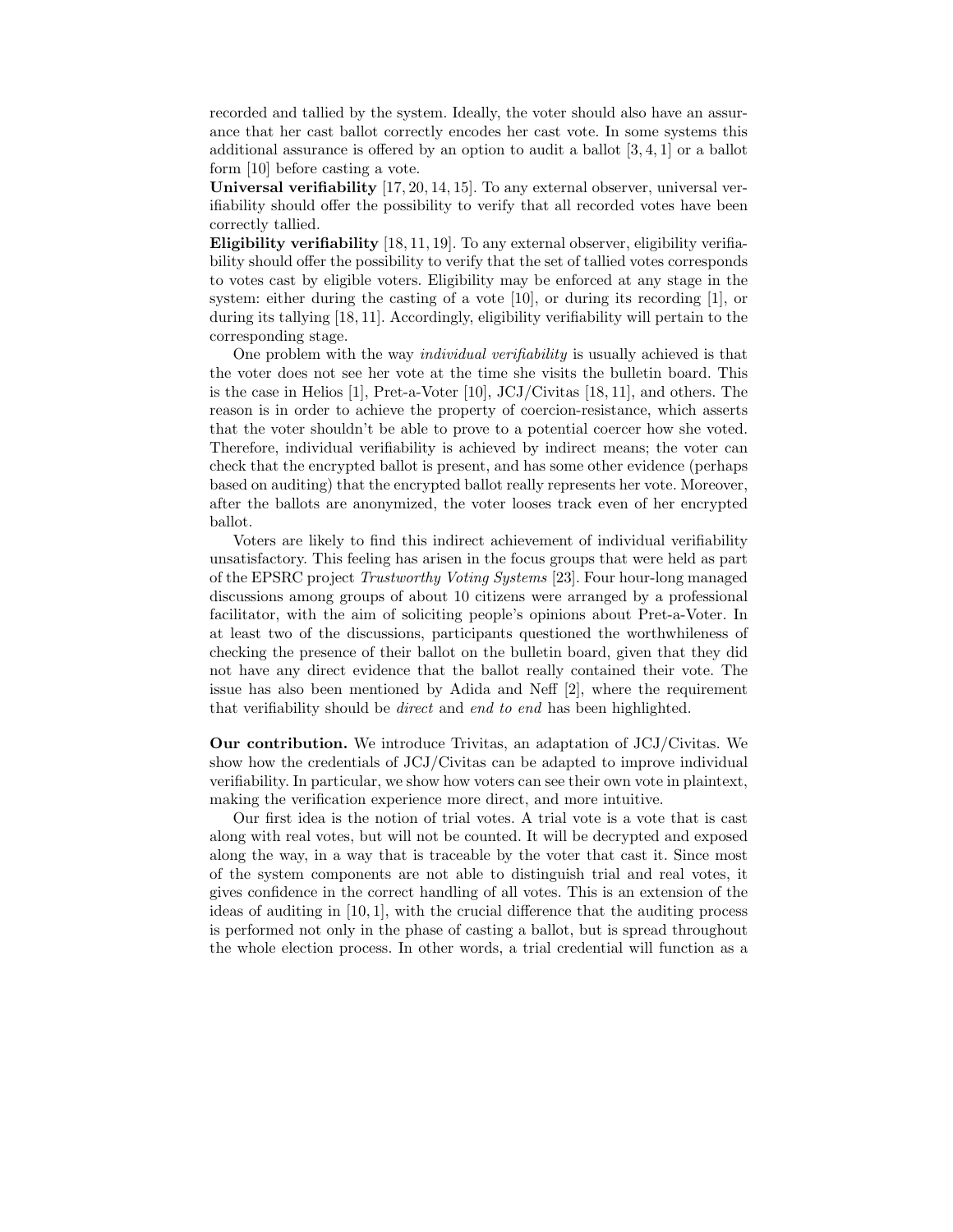recorded and tallied by the system. Ideally, the voter should also have an assurance that her cast ballot correctly encodes her cast vote. In some systems this additional assurance is offered by an option to audit a ballot [3, 4, 1] or a ballot form [10] before casting a vote.

Universal verifiability [17, 20, 14, 15]. To any external observer, universal verifiability should offer the possibility to verify that all recorded votes have been correctly tallied.

Eligibility verifiability [18, 11, 19]. To any external observer, eligibility verifiability should offer the possibility to verify that the set of tallied votes corresponds to votes cast by eligible voters. Eligibility may be enforced at any stage in the system: either during the casting of a vote [10], or during its recording [1], or during its tallying [18, 11]. Accordingly, eligibility verifiability will pertain to the corresponding stage.

One problem with the way individual verifiability is usually achieved is that the voter does not see her vote at the time she visits the bulletin board. This is the case in Helios [1], Pret-a-Voter [10], JCJ/Civitas [18, 11], and others. The reason is in order to achieve the property of coercion-resistance, which asserts that the voter shouldn't be able to prove to a potential coercer how she voted. Therefore, individual verifiability is achieved by indirect means; the voter can check that the encrypted ballot is present, and has some other evidence (perhaps based on auditing) that the encrypted ballot really represents her vote. Moreover, after the ballots are anonymized, the voter looses track even of her encrypted ballot.

Voters are likely to find this indirect achievement of individual verifiability unsatisfactory. This feeling has arisen in the focus groups that were held as part of the EPSRC project Trustworthy Voting Systems [23]. Four hour-long managed discussions among groups of about 10 citizens were arranged by a professional facilitator, with the aim of soliciting people's opinions about Pret-a-Voter. In at least two of the discussions, participants questioned the worthwhileness of checking the presence of their ballot on the bulletin board, given that they did not have any direct evidence that the ballot really contained their vote. The issue has also been mentioned by Adida and Neff [2], where the requirement that verifiability should be direct and end to end has been highlighted.

Our contribution. We introduce Trivitas, an adaptation of JCJ/Civitas. We show how the credentials of JCJ/Civitas can be adapted to improve individual verifiability. In particular, we show how voters can see their own vote in plaintext, making the verification experience more direct, and more intuitive.

Our first idea is the notion of trial votes. A trial vote is a vote that is cast along with real votes, but will not be counted. It will be decrypted and exposed along the way, in a way that is traceable by the voter that cast it. Since most of the system components are not able to distinguish trial and real votes, it gives confidence in the correct handling of all votes. This is an extension of the ideas of auditing in [10, 1], with the crucial difference that the auditing process is performed not only in the phase of casting a ballot, but is spread throughout the whole election process. In other words, a trial credential will function as a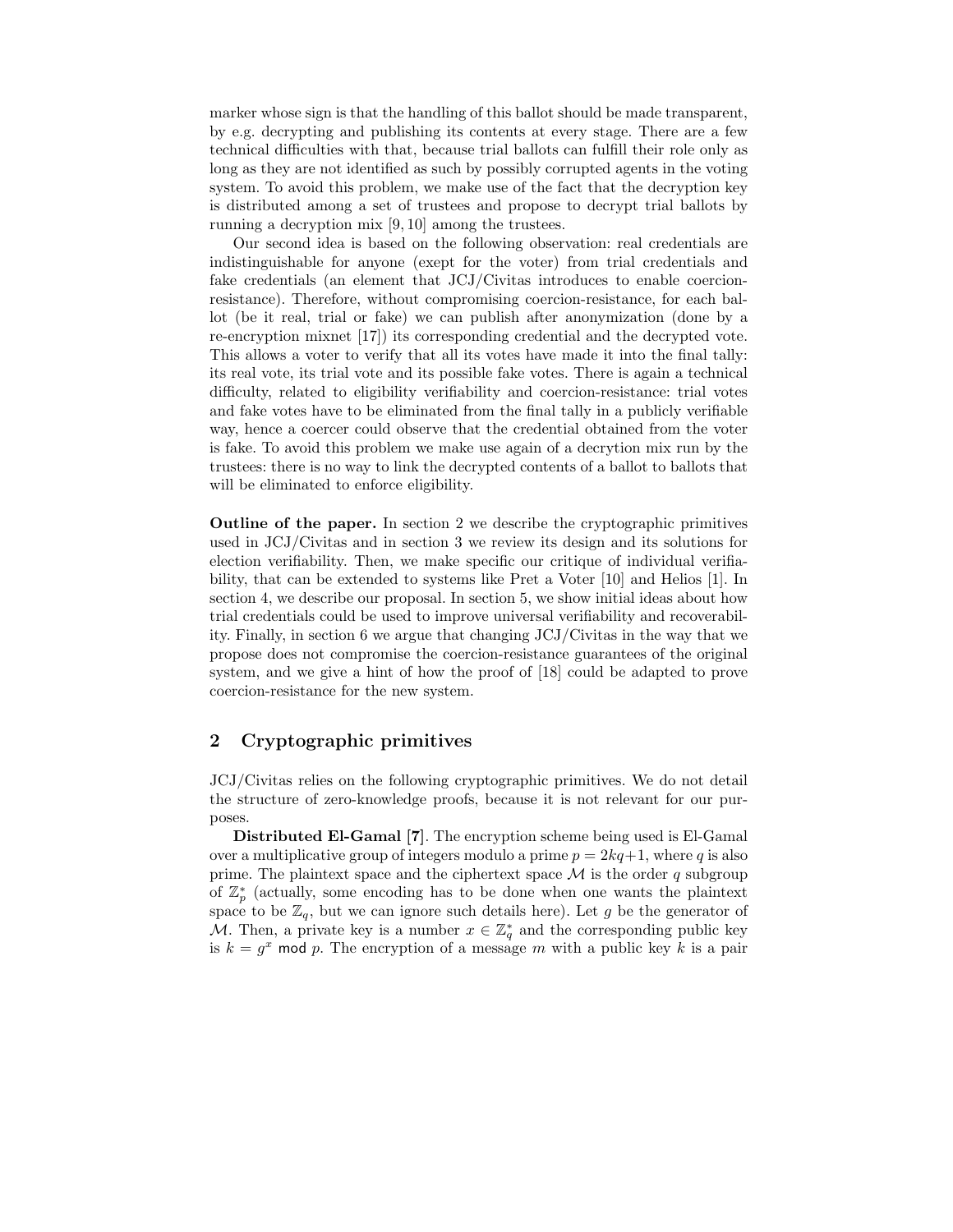marker whose sign is that the handling of this ballot should be made transparent, by e.g. decrypting and publishing its contents at every stage. There are a few technical difficulties with that, because trial ballots can fulfill their role only as long as they are not identified as such by possibly corrupted agents in the voting system. To avoid this problem, we make use of the fact that the decryption key is distributed among a set of trustees and propose to decrypt trial ballots by running a decryption mix [9, 10] among the trustees.

Our second idea is based on the following observation: real credentials are indistinguishable for anyone (exept for the voter) from trial credentials and fake credentials (an element that JCJ/Civitas introduces to enable coercionresistance). Therefore, without compromising coercion-resistance, for each ballot (be it real, trial or fake) we can publish after anonymization (done by a re-encryption mixnet [17]) its corresponding credential and the decrypted vote. This allows a voter to verify that all its votes have made it into the final tally: its real vote, its trial vote and its possible fake votes. There is again a technical difficulty, related to eligibility verifiability and coercion-resistance: trial votes and fake votes have to be eliminated from the final tally in a publicly verifiable way, hence a coercer could observe that the credential obtained from the voter is fake. To avoid this problem we make use again of a decrytion mix run by the trustees: there is no way to link the decrypted contents of a ballot to ballots that will be eliminated to enforce eligibility.

Outline of the paper. In section 2 we describe the cryptographic primitives used in JCJ/Civitas and in section 3 we review its design and its solutions for election verifiability. Then, we make specific our critique of individual verifiability, that can be extended to systems like Pret a Voter [10] and Helios [1]. In section 4, we describe our proposal. In section 5, we show initial ideas about how trial credentials could be used to improve universal verifiability and recoverability. Finally, in section 6 we argue that changing JCJ/Civitas in the way that we propose does not compromise the coercion-resistance guarantees of the original system, and we give a hint of how the proof of [18] could be adapted to prove coercion-resistance for the new system.

# 2 Cryptographic primitives

JCJ/Civitas relies on the following cryptographic primitives. We do not detail the structure of zero-knowledge proofs, because it is not relevant for our purposes.

Distributed El-Gamal [7]. The encryption scheme being used is El-Gamal over a multiplicative group of integers modulo a prime  $p = 2kq+1$ , where q is also prime. The plaintext space and the ciphertext space  $\mathcal M$  is the order q subgroup of  $\mathbb{Z}_p^*$  (actually, some encoding has to be done when one wants the plaintext space to be  $\mathbb{Z}_q$ , but we can ignore such details here). Let g be the generator of M. Then, a private key is a number  $x \in \mathbb{Z}_q^*$  and the corresponding public key is  $k = g^x$  mod p. The encryption of a message m with a public key k is a pair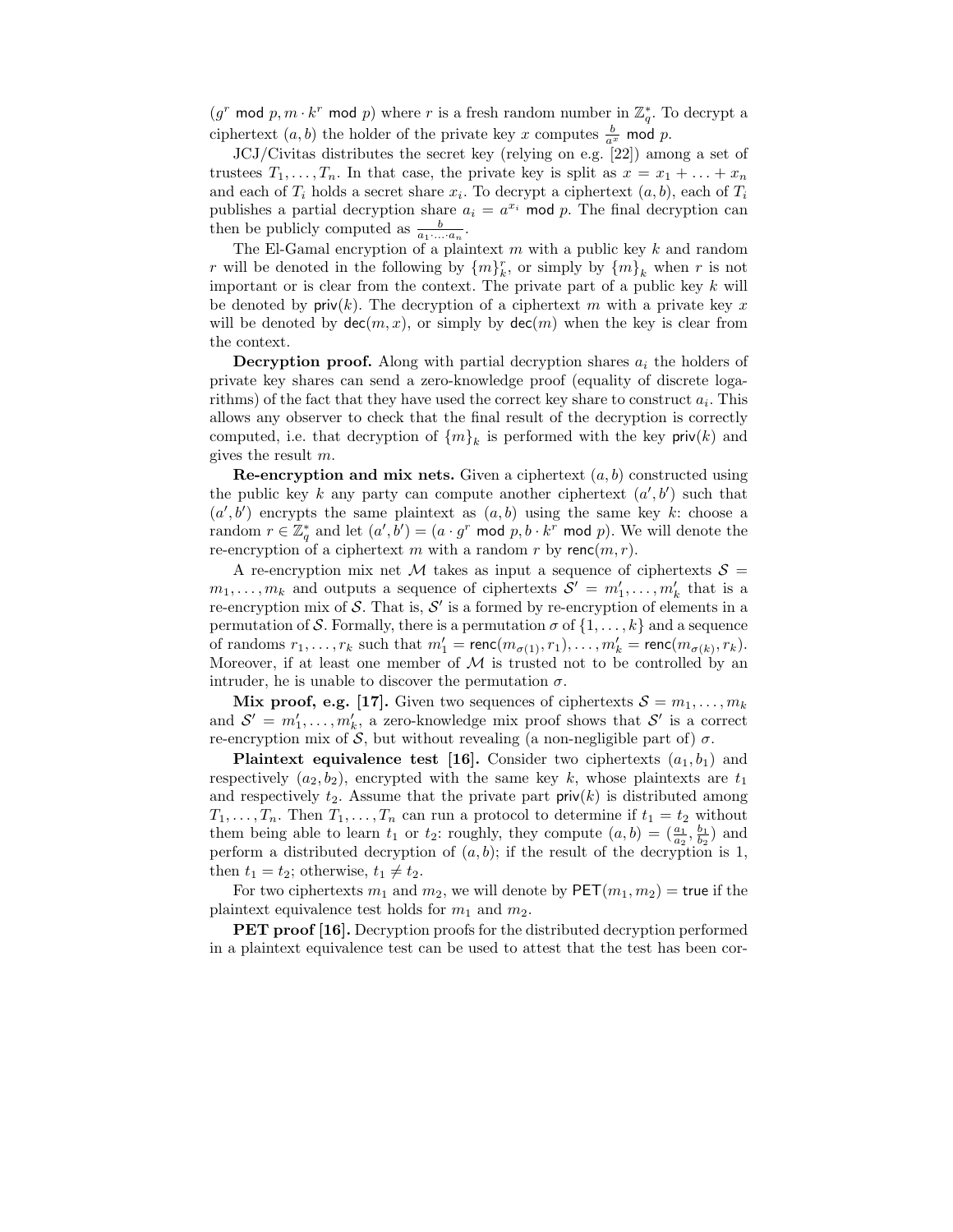$(g<sup>r</sup> \mod p, m \cdot k<sup>r</sup> \mod p)$  where r is a fresh random number in  $\mathbb{Z}_q^*$ . To decrypt a ciphertext  $(a, b)$  the holder of the private key x computes  $\frac{b}{a^x}$  mod p.

JCJ/Civitas distributes the secret key (relying on e.g. [22]) among a set of trustees  $T_1, \ldots, T_n$ . In that case, the private key is split as  $x = x_1 + \ldots + x_n$ and each of  $T_i$  holds a secret share  $x_i$ . To decrypt a ciphertext  $(a, b)$ , each of  $T_i$ publishes a partial decryption share  $a_i = a^{x_i} \mod p$ . The final decryption can then be publicly computed as  $\frac{b}{a_1 \cdots a_n}$ .

The El-Gamal encryption of a plaintext  $m$  with a public key  $k$  and random r will be denoted in the following by  $\{m\}_k$ , or simply by  $\{m\}_k$  when r is not important or is clear from the context. The private part of a public key  $k$  will be denoted by  $\text{priv}(k)$ . The decryption of a ciphertext m with a private key x will be denoted by  $\text{dec}(m, x)$ , or simply by  $\text{dec}(m)$  when the key is clear from the context.

**Decryption proof.** Along with partial decryption shares  $a_i$  the holders of private key shares can send a zero-knowledge proof (equality of discrete logarithms) of the fact that they have used the correct key share to construct  $a_i$ . This allows any observer to check that the final result of the decryption is correctly computed, i.e. that decryption of  ${m_k}$  is performed with the key priv $(k)$  and gives the result m.

**Re-encryption and mix nets.** Given a ciphertext  $(a, b)$  constructed using the public key k any party can compute another ciphertext  $(a', b')$  such that  $(a',b')$  encrypts the same plaintext as  $(a,b)$  using the same key k: choose a random  $r \in \mathbb{Z}_q^*$  and let  $(a', b') = (a \cdot g^r \mod p, b \cdot k^r \mod p)$ . We will denote the re-encryption of a ciphertext m with a random r by renc $(m, r)$ .

A re-encryption mix net  $M$  takes as input a sequence of ciphertexts  $S =$  $m_1, \ldots, m_k$  and outputs a sequence of ciphertexts  $\mathcal{S}' = m'_1, \ldots, m'_k$  that is a re-encryption mix of  $S$ . That is,  $S'$  is a formed by re-encryption of elements in a permutation of S. Formally, there is a permutation  $\sigma$  of  $\{1,\ldots,k\}$  and a sequence of randoms  $r_1, \ldots, r_k$  such that  $m'_1 = \text{renc}(m_{\sigma(1)}, r_1), \ldots, m'_k = \text{renc}(m_{\sigma(k)}, r_k)$ . Moreover, if at least one member of  $M$  is trusted not to be controlled by an intruder, he is unable to discover the permutation  $\sigma$ .

Mix proof, e.g. [17]. Given two sequences of ciphertexts  $S = m_1, \ldots, m_k$ and  $S' = m'_1, \ldots, m'_k$ , a zero-knowledge mix proof shows that S' is a correct re-encryption mix of  $\mathcal{S}$ , but without revealing (a non-negligible part of)  $\sigma$ .

**Plaintext equivalence test [16].** Consider two ciphertexts  $(a_1, b_1)$  and respectively  $(a_2, b_2)$ , encrypted with the same key k, whose plaintexts are  $t_1$ and respectively  $t_2$ . Assume that the private part  $\text{priv}(k)$  is distributed among  $T_1,\ldots,T_n$ . Then  $T_1,\ldots,T_n$  can run a protocol to determine if  $t_1 = t_2$  without them being able to learn  $t_1$  or  $t_2$ : roughly, they compute  $(a, b) = \left(\frac{a_1}{a_2}, \frac{b_1}{b_2}\right)$  and perform a distributed decryption of  $(a, b)$ ; if the result of the decryption is 1, then  $t_1 = t_2$ ; otherwise,  $t_1 \neq t_2$ .

For two ciphertexts  $m_1$  and  $m_2$ , we will denote by  $\mathsf{PET}(m_1,m_2) = \mathsf{true}$  if the plaintext equivalence test holds for  $m_1$  and  $m_2$ .

PET proof [16]. Decryption proofs for the distributed decryption performed in a plaintext equivalence test can be used to attest that the test has been cor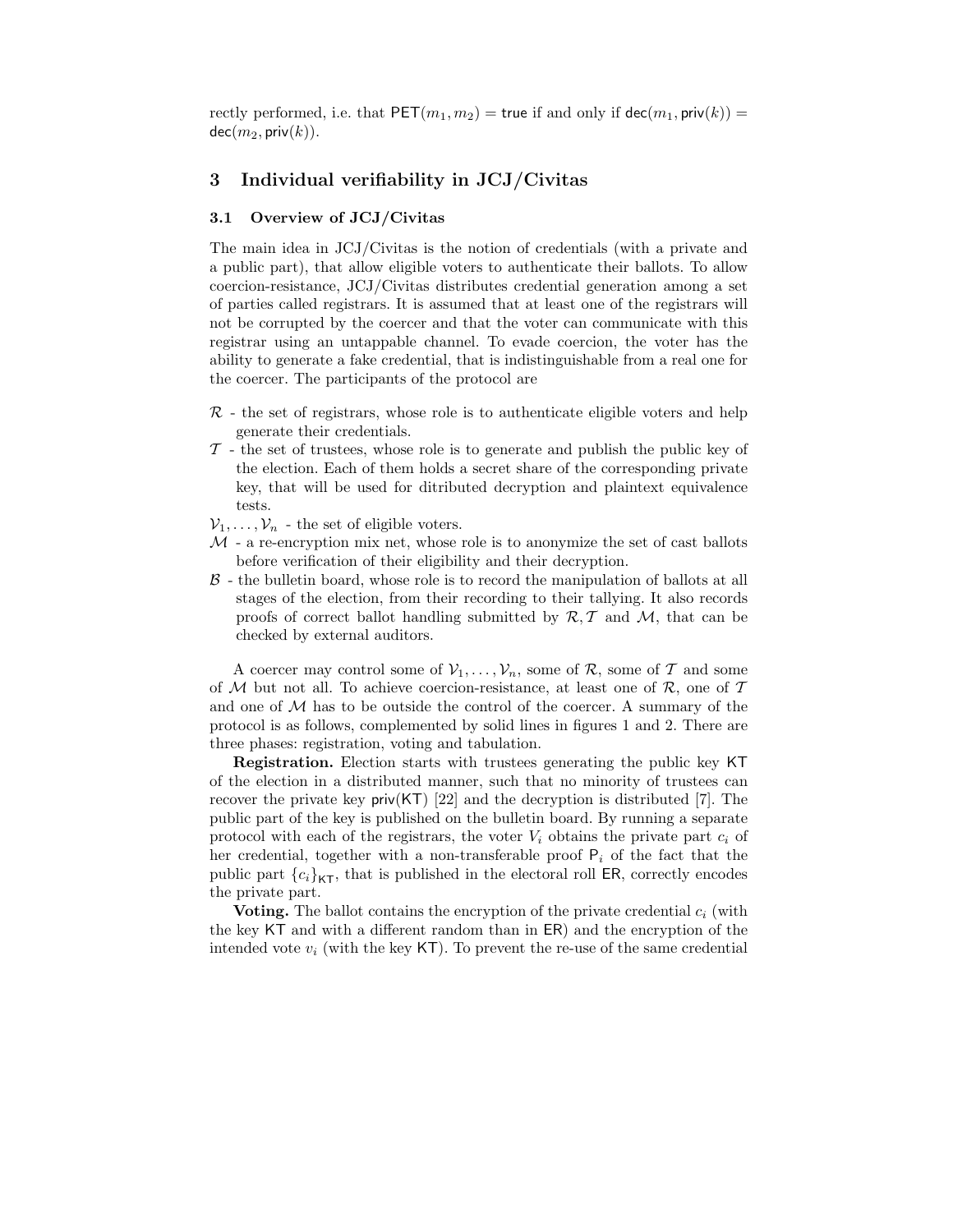rectly performed, i.e. that  $\mathsf{PET}(m_1,m_2) = \mathsf{true}$  if and only if  $\mathsf{dec}(m_1, \mathsf{priv}(k)) =$  $dec(m_2, \text{priv}(k)).$ 

# 3 Individual verifiability in JCJ/Civitas

#### 3.1 Overview of JCJ/Civitas

The main idea in JCJ/Civitas is the notion of credentials (with a private and a public part), that allow eligible voters to authenticate their ballots. To allow coercion-resistance, JCJ/Civitas distributes credential generation among a set of parties called registrars. It is assumed that at least one of the registrars will not be corrupted by the coercer and that the voter can communicate with this registrar using an untappable channel. To evade coercion, the voter has the ability to generate a fake credential, that is indistinguishable from a real one for the coercer. The participants of the protocol are

- $\mathcal{R}$  the set of registrars, whose role is to authenticate eligible voters and help generate their credentials.
- $\mathcal T$  the set of trustees, whose role is to generate and publish the public key of the election. Each of them holds a secret share of the corresponding private key, that will be used for ditributed decryption and plaintext equivalence tests.
- $\mathcal{V}_1,\ldots,\mathcal{V}_n$  the set of eligible voters.
- $M$  a re-encryption mix net, whose role is to anonymize the set of cast ballots before verification of their eligibility and their decryption.
- $\beta$  the bulletin board, whose role is to record the manipulation of ballots at all stages of the election, from their recording to their tallying. It also records proofs of correct ballot handling submitted by  $\mathcal{R}, \mathcal{T}$  and  $\mathcal{M}$ , that can be checked by external auditors.

A coercer may control some of  $\mathcal{V}_1,\ldots,\mathcal{V}_n$ , some of  $\mathcal R$ , some of  $\mathcal T$  and some of M but not all. To achieve coercion-resistance, at least one of  $\mathcal{R}$ , one of  $\mathcal{T}$ and one of  $\mathcal M$  has to be outside the control of the coercer. A summary of the protocol is as follows, complemented by solid lines in figures 1 and 2. There are three phases: registration, voting and tabulation.

Registration. Election starts with trustees generating the public key KT of the election in a distributed manner, such that no minority of trustees can recover the private key  $\text{priv}(KT)$  [22] and the decryption is distributed [7]. The public part of the key is published on the bulletin board. By running a separate protocol with each of the registrars, the voter  $V_i$  obtains the private part  $c_i$  of her credential, together with a non-transferable proof  $P_i$  of the fact that the public part  ${c_i}_{\mathsf{KT}}$ , that is published in the electoral roll ER, correctly encodes the private part.

**Voting.** The ballot contains the encryption of the private credential  $c_i$  (with the key KT and with a different random than in ER) and the encryption of the intended vote  $v_i$  (with the key KT). To prevent the re-use of the same credential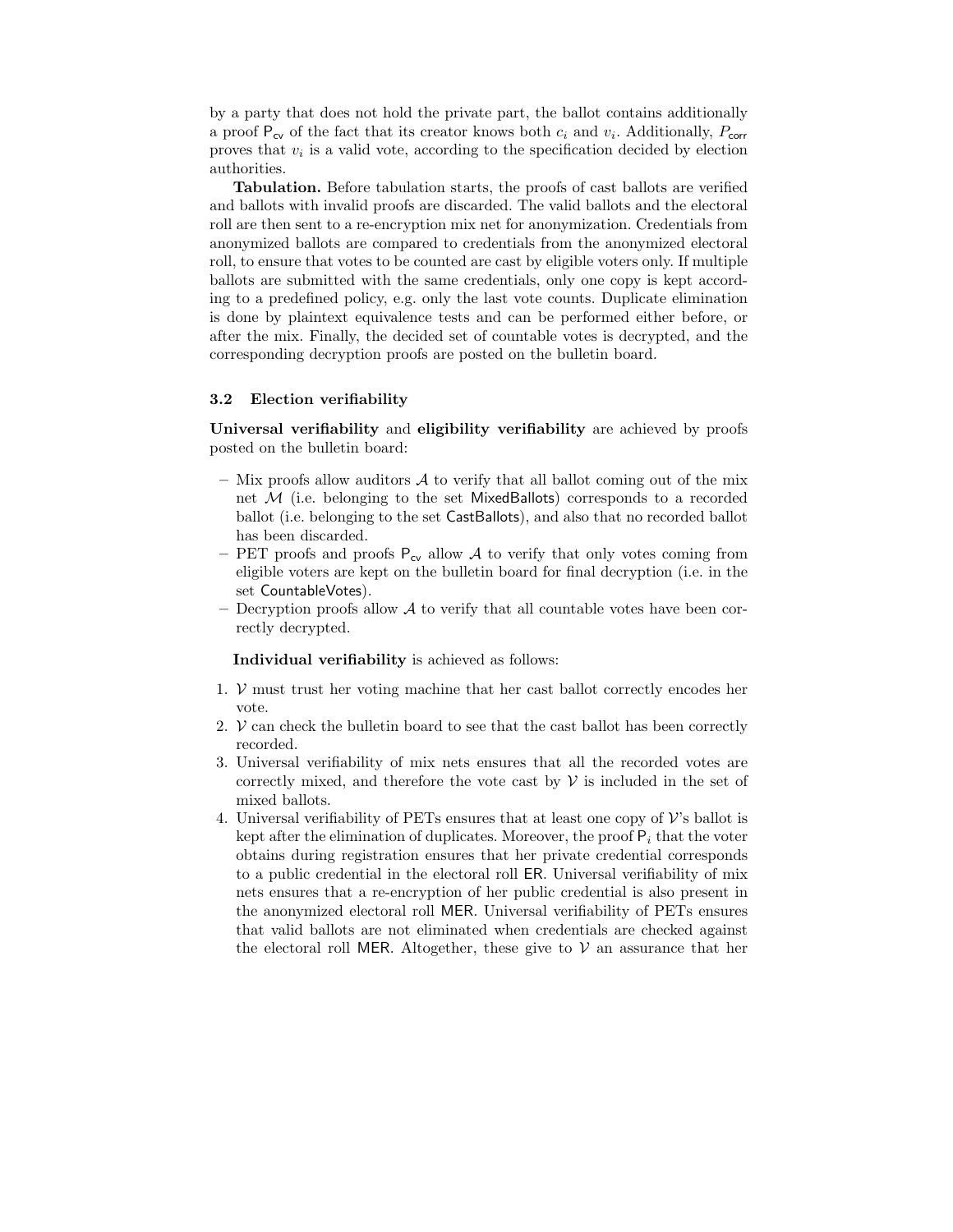by a party that does not hold the private part, the ballot contains additionally a proof  $P_{cv}$  of the fact that its creator knows both  $c_i$  and  $v_i$ . Additionally,  $P_{corr}$ proves that  $v_i$  is a valid vote, according to the specification decided by election authorities.

Tabulation. Before tabulation starts, the proofs of cast ballots are verified and ballots with invalid proofs are discarded. The valid ballots and the electoral roll are then sent to a re-encryption mix net for anonymization. Credentials from anonymized ballots are compared to credentials from the anonymized electoral roll, to ensure that votes to be counted are cast by eligible voters only. If multiple ballots are submitted with the same credentials, only one copy is kept according to a predefined policy, e.g. only the last vote counts. Duplicate elimination is done by plaintext equivalence tests and can be performed either before, or after the mix. Finally, the decided set of countable votes is decrypted, and the corresponding decryption proofs are posted on the bulletin board.

#### 3.2 Election verifiability

Universal verifiability and eligibility verifiability are achieved by proofs posted on the bulletin board:

- $-$  Mix proofs allow auditors  $A$  to verify that all ballot coming out of the mix net  $M$  (i.e. belonging to the set MixedBallots) corresponds to a recorded ballot (i.e. belonging to the set CastBallots), and also that no recorded ballot has been discarded.
- PET proofs and proofs  $P_{cv}$  allow A to verify that only votes coming from eligible voters are kept on the bulletin board for final decryption (i.e. in the set CountableVotes).
- $-$  Decryption proofs allow  $A$  to verify that all countable votes have been correctly decrypted.

Individual verifiability is achieved as follows:

- 1.  $\mathcal V$  must trust her voting machine that her cast ballot correctly encodes her vote.
- 2.  $V$  can check the bulletin board to see that the cast ballot has been correctly recorded.
- 3. Universal verifiability of mix nets ensures that all the recorded votes are correctly mixed, and therefore the vote cast by  $\mathcal V$  is included in the set of mixed ballots.
- 4. Universal verifiability of PETs ensures that at least one copy of  $\mathcal{V}$ 's ballot is kept after the elimination of duplicates. Moreover, the proof  $P_i$  that the voter obtains during registration ensures that her private credential corresponds to a public credential in the electoral roll ER. Universal verifiability of mix nets ensures that a re-encryption of her public credential is also present in the anonymized electoral roll MER. Universal verifiability of PETs ensures that valid ballots are not eliminated when credentials are checked against the electoral roll MER. Altogether, these give to  $\mathcal V$  an assurance that her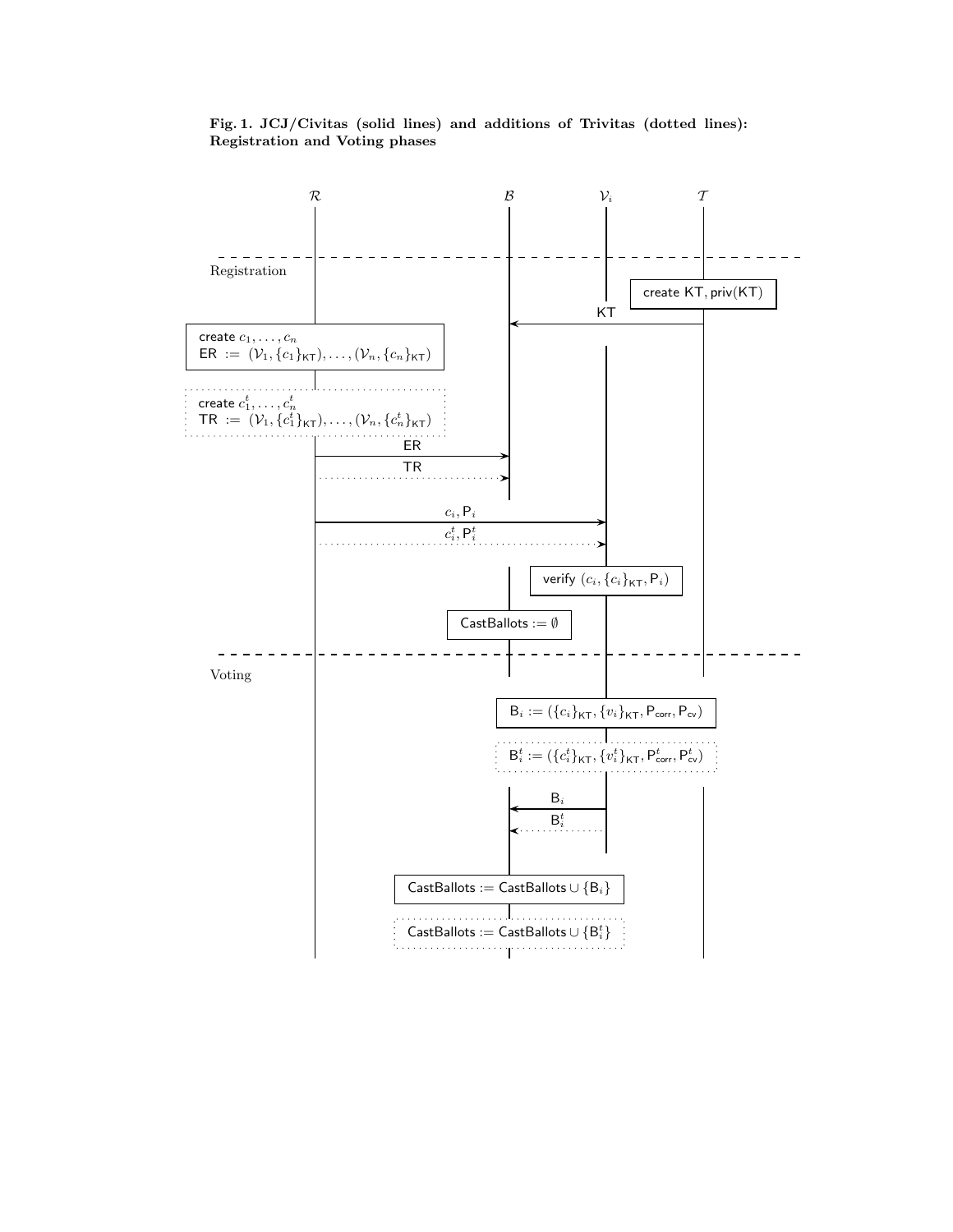Fig. 1. JCJ/Civitas (solid lines) and additions of Trivitas (dotted lines): Registration and Voting phases

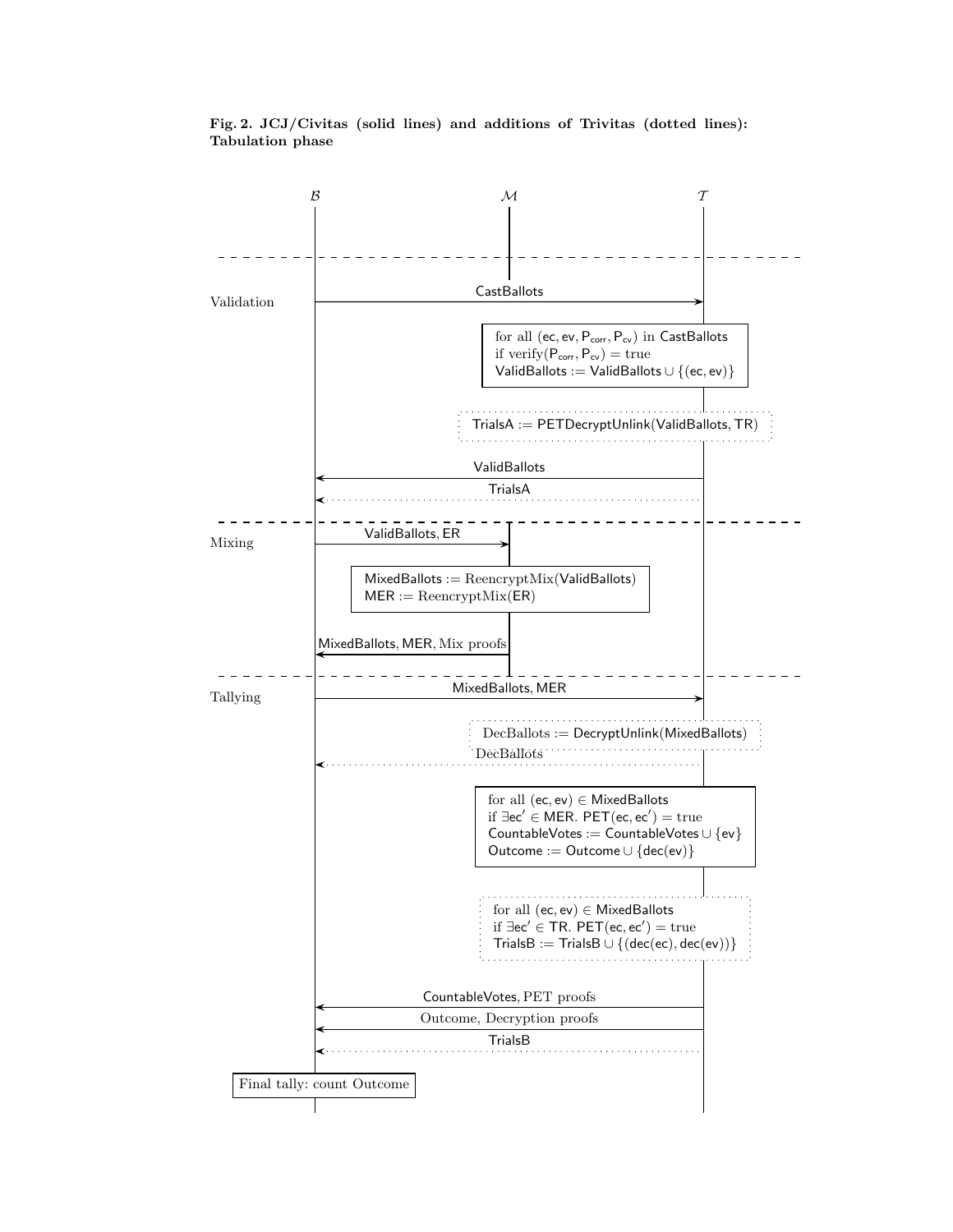

Fig. 2. JCJ/Civitas (solid lines) and additions of Trivitas (dotted lines): Tabulation phase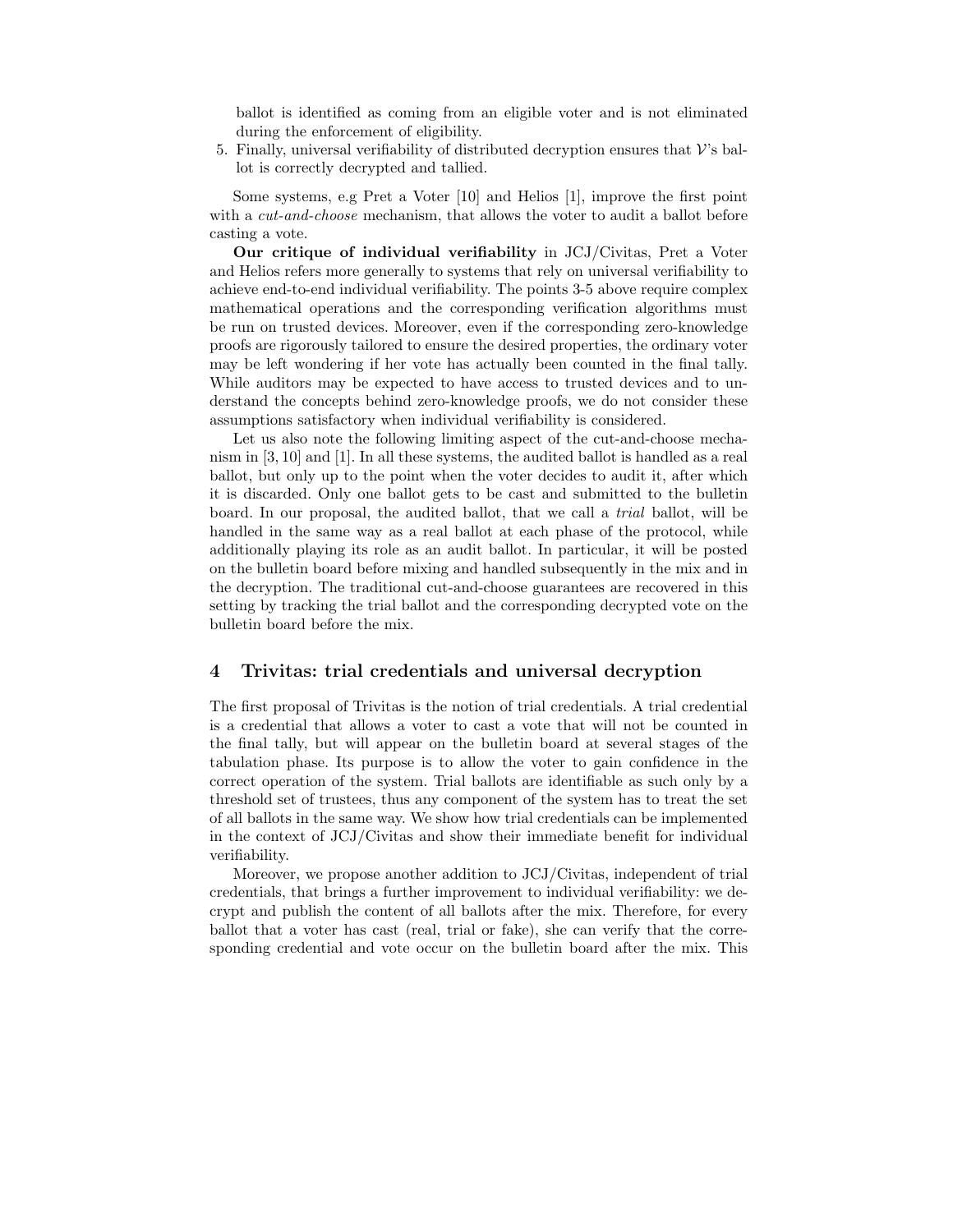ballot is identified as coming from an eligible voter and is not eliminated during the enforcement of eligibility.

5. Finally, universal verifiability of distributed decryption ensures that  $\mathcal{V}$ 's ballot is correctly decrypted and tallied.

Some systems, e.g Pret a Voter [10] and Helios [1], improve the first point with a *cut-and-choose* mechanism, that allows the voter to audit a ballot before casting a vote.

Our critique of individual verifiability in JCJ/Civitas, Pret a Voter and Helios refers more generally to systems that rely on universal verifiability to achieve end-to-end individual verifiability. The points 3-5 above require complex mathematical operations and the corresponding verification algorithms must be run on trusted devices. Moreover, even if the corresponding zero-knowledge proofs are rigorously tailored to ensure the desired properties, the ordinary voter may be left wondering if her vote has actually been counted in the final tally. While auditors may be expected to have access to trusted devices and to understand the concepts behind zero-knowledge proofs, we do not consider these assumptions satisfactory when individual verifiability is considered.

Let us also note the following limiting aspect of the cut-and-choose mechanism in [3, 10] and [1]. In all these systems, the audited ballot is handled as a real ballot, but only up to the point when the voter decides to audit it, after which it is discarded. Only one ballot gets to be cast and submitted to the bulletin board. In our proposal, the audited ballot, that we call a trial ballot, will be handled in the same way as a real ballot at each phase of the protocol, while additionally playing its role as an audit ballot. In particular, it will be posted on the bulletin board before mixing and handled subsequently in the mix and in the decryption. The traditional cut-and-choose guarantees are recovered in this setting by tracking the trial ballot and the corresponding decrypted vote on the bulletin board before the mix.

## 4 Trivitas: trial credentials and universal decryption

The first proposal of Trivitas is the notion of trial credentials. A trial credential is a credential that allows a voter to cast a vote that will not be counted in the final tally, but will appear on the bulletin board at several stages of the tabulation phase. Its purpose is to allow the voter to gain confidence in the correct operation of the system. Trial ballots are identifiable as such only by a threshold set of trustees, thus any component of the system has to treat the set of all ballots in the same way. We show how trial credentials can be implemented in the context of JCJ/Civitas and show their immediate benefit for individual verifiability.

Moreover, we propose another addition to JCJ/Civitas, independent of trial credentials, that brings a further improvement to individual verifiability: we decrypt and publish the content of all ballots after the mix. Therefore, for every ballot that a voter has cast (real, trial or fake), she can verify that the corresponding credential and vote occur on the bulletin board after the mix. This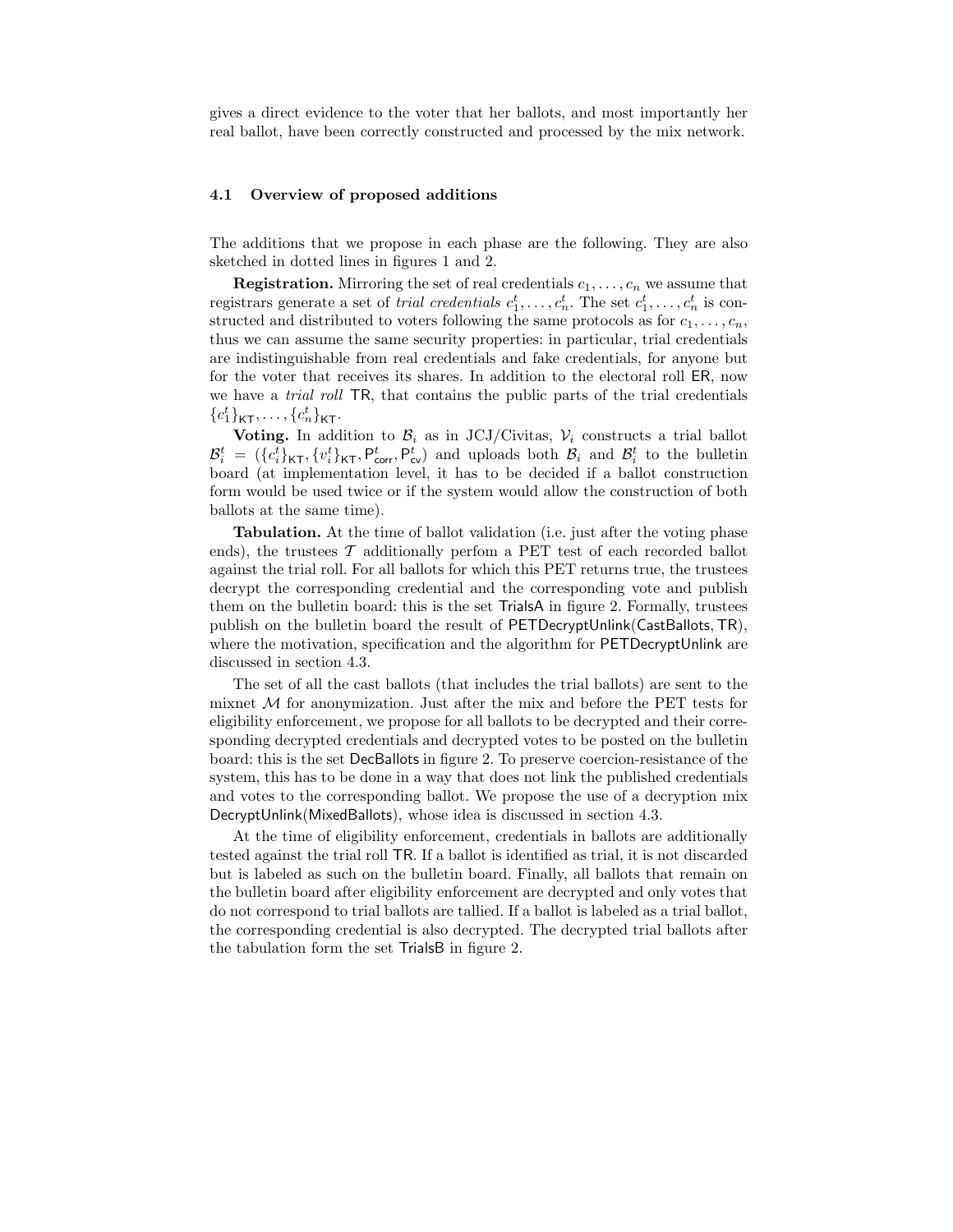gives a direct evidence to the voter that her ballots, and most importantly her real ballot, have been correctly constructed and processed by the mix network.

#### 4.1 Overview of proposed additions

The additions that we propose in each phase are the following. They are also sketched in dotted lines in figures 1 and 2.

**Registration.** Mirroring the set of real credentials  $c_1, \ldots, c_n$  we assume that registrars generate a set of *trial credentials*  $c_1^t, \ldots, c_n^t$ . The set  $c_1^t, \ldots, c_n^t$  is constructed and distributed to voters following the same protocols as for  $c_1, \ldots, c_n$ , thus we can assume the same security properties: in particular, trial credentials are indistinguishable from real credentials and fake credentials, for anyone but for the voter that receives its shares. In addition to the electoral roll ER, now we have a *trial roll* TR, that contains the public parts of the trial credentials  ${c_1^t}_{\mathsf{KT}}, \ldots, {c_n^t}_{\mathsf{KT}}$ .

Voting. In addition to  $B_i$  as in JCJ/Civitas,  $V_i$  constructs a trial ballot  $\mathcal{B}_i^t = (\{c_i^t\}_{\mathsf{KT}}, \{v_i^t\}_{\mathsf{KT}}, \mathsf{P}_{\mathsf{corr}}^t, \mathsf{P}_{\mathsf{cv}}^t)$  and uploads both  $\mathcal{B}_i$  and  $\mathcal{B}_i^t$  to the bulletin board (at implementation level, it has to be decided if a ballot construction form would be used twice or if the system would allow the construction of both ballots at the same time).

Tabulation. At the time of ballot validation (i.e. just after the voting phase ends), the trustees  $\mathcal T$  additionally perfom a PET test of each recorded ballot against the trial roll. For all ballots for which this PET returns true, the trustees decrypt the corresponding credential and the corresponding vote and publish them on the bulletin board: this is the set TrialsA in figure 2. Formally, trustees publish on the bulletin board the result of PETDecryptUnlink(CastBallots,TR), where the motivation, specification and the algorithm for **PETDecryptUnlink** are discussed in section 4.3.

The set of all the cast ballots (that includes the trial ballots) are sent to the mixnet  $M$  for anonymization. Just after the mix and before the PET tests for eligibility enforcement, we propose for all ballots to be decrypted and their corresponding decrypted credentials and decrypted votes to be posted on the bulletin board: this is the set DecBallots in figure 2. To preserve coercion-resistance of the system, this has to be done in a way that does not link the published credentials and votes to the corresponding ballot. We propose the use of a decryption mix DecryptUnlink(MixedBallots), whose idea is discussed in section 4.3.

At the time of eligibility enforcement, credentials in ballots are additionally tested against the trial roll TR. If a ballot is identified as trial, it is not discarded but is labeled as such on the bulletin board. Finally, all ballots that remain on the bulletin board after eligibility enforcement are decrypted and only votes that do not correspond to trial ballots are tallied. If a ballot is labeled as a trial ballot, the corresponding credential is also decrypted. The decrypted trial ballots after the tabulation form the set TrialsB in figure 2.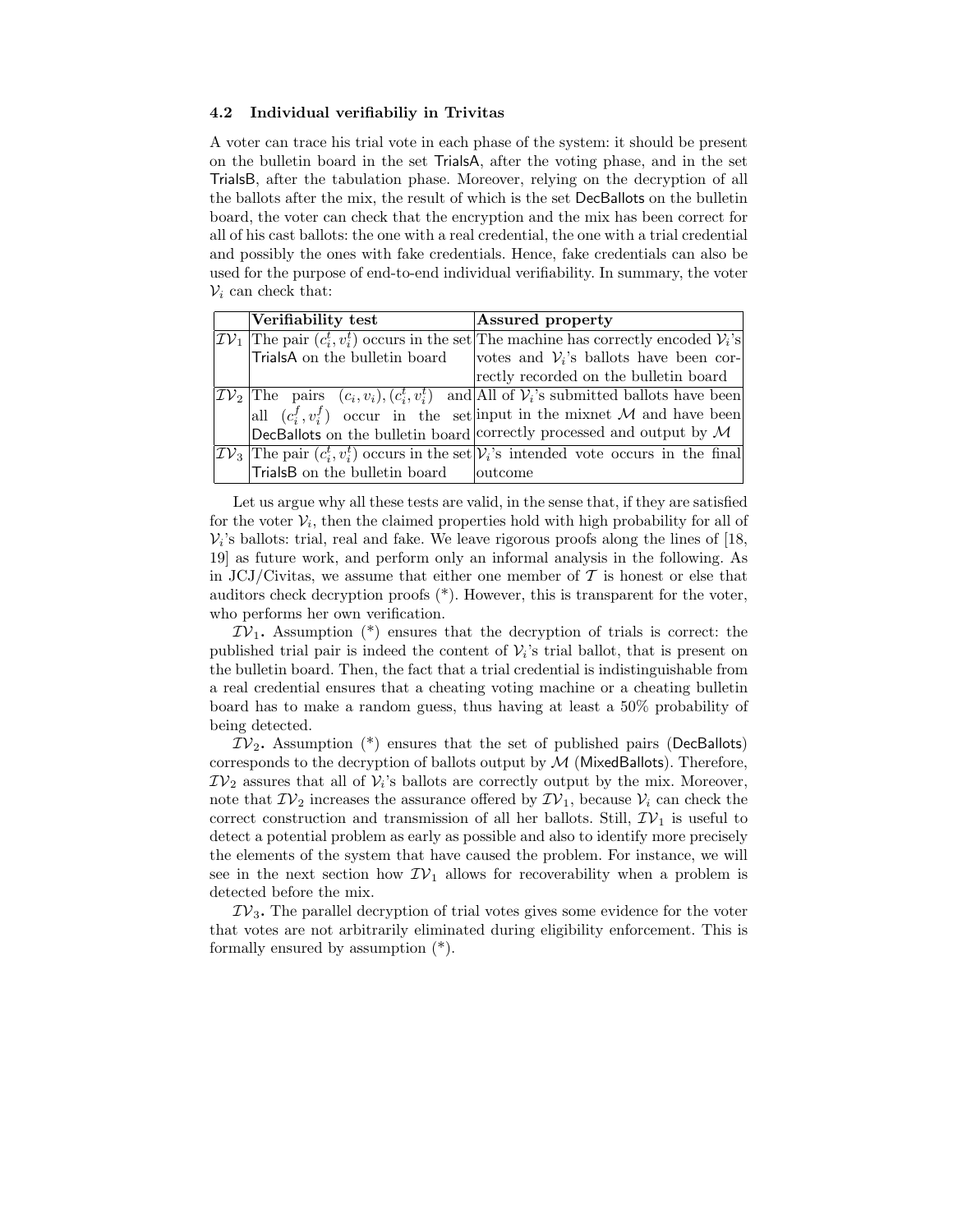#### 4.2 Individual verifiabiliy in Trivitas

A voter can trace his trial vote in each phase of the system: it should be present on the bulletin board in the set TrialsA, after the voting phase, and in the set TrialsB, after the tabulation phase. Moreover, relying on the decryption of all the ballots after the mix, the result of which is the set DecBallots on the bulletin board, the voter can check that the encryption and the mix has been correct for all of his cast ballots: the one with a real credential, the one with a trial credential and possibly the ones with fake credentials. Hence, fake credentials can also be used for the purpose of end-to-end individual verifiability. In summary, the voter  $V_i$  can check that:

|  | Verifiability test                       | Assured property                                                                                                    |
|--|------------------------------------------|---------------------------------------------------------------------------------------------------------------------|
|  |                                          | $ \mathcal{IV}_1 $ The pair $(c_i^t, v_i^t)$ occurs in the set The machine has correctly encoded $\mathcal{V}_i$ 's |
|  | TrialsA on the bulletin board            | votes and $V_i$ 's ballots have been cor-                                                                           |
|  |                                          | rectly recorded on the bulletin board                                                                               |
|  |                                          | $ \mathcal{IV}_2 $ The pairs $(c_i, v_i), (c_i^t, v_i^t)$ and All of $\mathcal{V}_i$ 's submitted ballots have been |
|  |                                          | all $(c_i^f, v_i^f)$ occur in the set input in the mixnet M and have been                                           |
|  |                                          | DecBallots on the bulletin board correctly processed and output by $\mathcal M$                                     |
|  |                                          | $ \mathcal{IV}_3 $ The pair $(c_i^t, v_i^t)$ occurs in the set $ V_i\rangle$ 's intended vote occurs in the final   |
|  | Trials B on the bulletin board   outcome |                                                                                                                     |
|  |                                          |                                                                                                                     |

Let us argue why all these tests are valid, in the sense that, if they are satisfied for the voter  $V_i$ , then the claimed properties hold with high probability for all of  $V_i$ 's ballots: trial, real and fake. We leave rigorous proofs along the lines of [18, 19] as future work, and perform only an informal analysis in the following. As in JCJ/Civitas, we assume that either one member of  $\mathcal T$  is honest or else that auditors check decryption proofs (\*). However, this is transparent for the voter, who performs her own verification.

 $TV_1$ . Assumption (\*) ensures that the decryption of trials is correct: the published trial pair is indeed the content of  $\mathcal{V}_i$ 's trial ballot, that is present on the bulletin board. Then, the fact that a trial credential is indistinguishable from a real credential ensures that a cheating voting machine or a cheating bulletin board has to make a random guess, thus having at least a 50% probability of being detected.

 $TV_2$ . Assumption (\*) ensures that the set of published pairs (DecBallots) corresponds to the decryption of ballots output by  $\mathcal M$  (MixedBallots). Therefore,  $TV_2$  assures that all of  $V_i$ 's ballots are correctly output by the mix. Moreover, note that  $\mathcal{IV}_2$  increases the assurance offered by  $\mathcal{IV}_1$ , because  $\mathcal{V}_i$  can check the correct construction and transmission of all her ballots. Still,  $\mathcal{IV}_1$  is useful to detect a potential problem as early as possible and also to identify more precisely the elements of the system that have caused the problem. For instance, we will see in the next section how  $TV_1$  allows for recoverability when a problem is detected before the mix.

 $TV_3$ . The parallel decryption of trial votes gives some evidence for the voter that votes are not arbitrarily eliminated during eligibility enforcement. This is formally ensured by assumption (\*).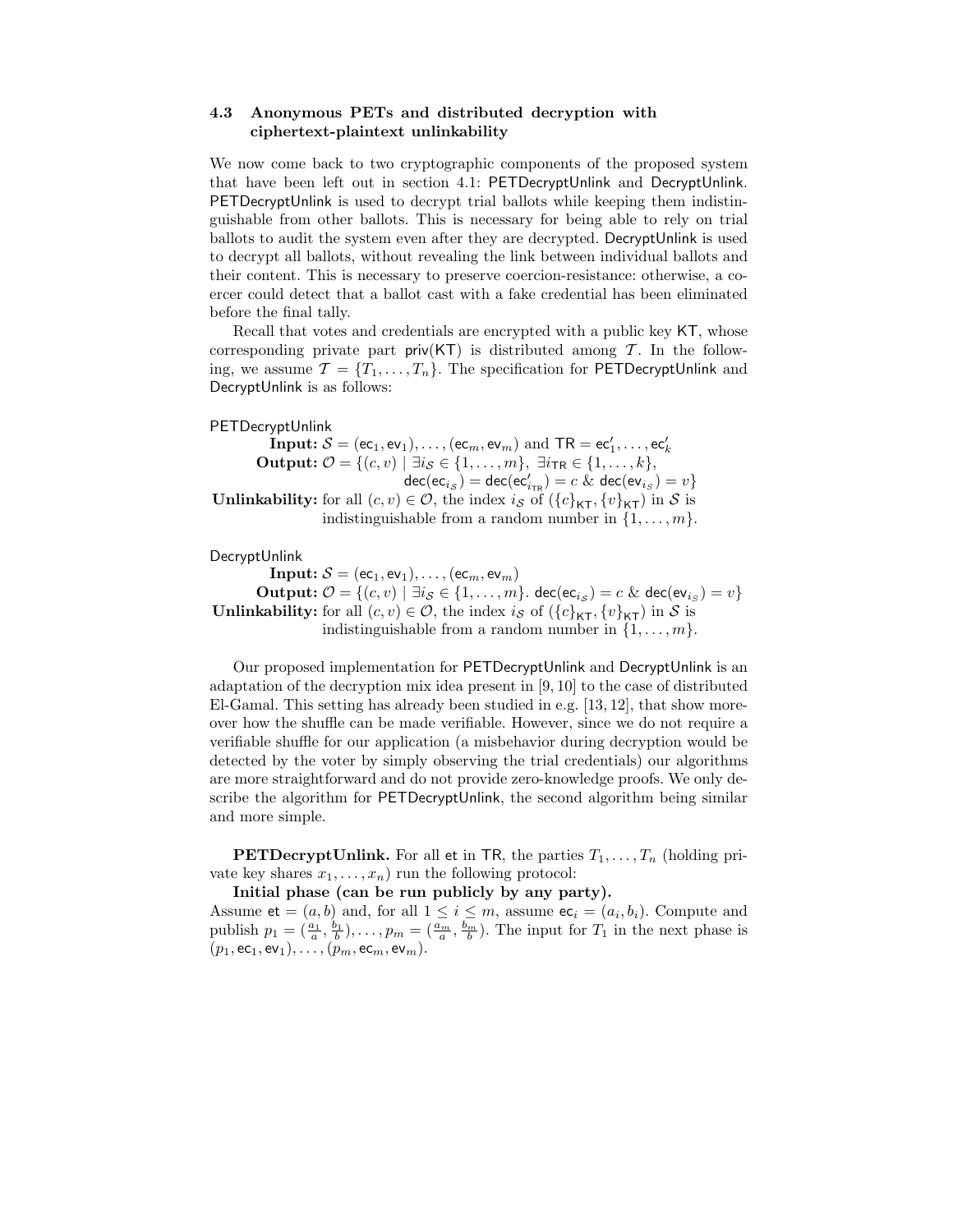## 4.3 Anonymous PETs and distributed decryption with ciphertext-plaintext unlinkability

We now come back to two cryptographic components of the proposed system that have been left out in section 4.1: PETDecryptUnlink and DecryptUnlink. PETDecryptUnlink is used to decrypt trial ballots while keeping them indistinguishable from other ballots. This is necessary for being able to rely on trial ballots to audit the system even after they are decrypted. DecryptUnlink is used to decrypt all ballots, without revealing the link between individual ballots and their content. This is necessary to preserve coercion-resistance: otherwise, a coercer could detect that a ballot cast with a fake credential has been eliminated before the final tally.

Recall that votes and credentials are encrypted with a public key KT, whose corresponding private part  $\text{priv}(KT)$  is distributed among T. In the following, we assume  $\mathcal{T} = \{T_1, \ldots, T_n\}$ . The specification for PETDecryptUnlink and DecryptUnlink is as follows:

PETDecryptUnlink

**Input:**  $S = (ec_1, ev_1), \ldots, (ec_m, ev_m)$  and  $TR = ec'_1, \ldots, ec'_k$ **Output:**  $\mathcal{O} = \{(c, v) | \exists i_{\mathcal{S}} \in \{1, ..., m\}, \exists i_{\mathsf{TR}} \in \{1, ..., k\},\}$  $\mathsf{dec}(\mathsf{ec}_{i_S}) = \mathsf{dec}(\mathsf{ec}'_{i_{\mathsf{TR}}}) = c \; \& \; \mathsf{dec}(\mathsf{ev}_{i_S}) = v \}$ **Unlinkability:** for all  $(c, v) \in \mathcal{O}$ , the index  $i_{\mathcal{S}}$  of  $(\{c\}_{K}^{\mathsf{T}}, \{v\}_{K}^{\mathsf{T}})$  in  $\mathcal{S}$  is indistinguishable from a random number in  $\{1,\ldots,m\}$ .

DecryptUnlink

**Input:**  $S = (ec_1, ev_1), \ldots, (ec_m, ev_m)$ **Output:**  $\mathcal{O} = \{(c, v) \mid \exists i_{\mathcal{S}} \in \{1, \ldots, m\}$ . dec $(\mathsf{ec}_{i_{\mathcal{S}}}) = c \& \mathsf{dec}(\mathsf{ev}_{i_{\mathcal{S}}}) = v\}$ **Unlinkability:** for all  $(c, v) \in \mathcal{O}$ , the index  $i_{\mathcal{S}}$  of  $({c}_{\mathcal{K}T}, {v}_{\mathcal{K}T})$  in  $\mathcal{S}$  is indistinguishable from a random number in  $\{1,\ldots,m\}$ .

Our proposed implementation for PETDecryptUnlink and DecryptUnlink is an adaptation of the decryption mix idea present in [9, 10] to the case of distributed El-Gamal. This setting has already been studied in e.g. [13, 12], that show moreover how the shuffle can be made verifiable. However, since we do not require a verifiable shuffle for our application (a misbehavior during decryption would be detected by the voter by simply observing the trial credentials) our algorithms are more straightforward and do not provide zero-knowledge proofs. We only describe the algorithm for PETDecryptUnlink, the second algorithm being similar and more simple.

**PETDecryptUnlink.** For all et in TR, the parties  $T_1, \ldots, T_n$  (holding private key shares  $x_1, \ldots, x_n$  run the following protocol:

Initial phase (can be run publicly by any party).

Assume  $et = (a, b)$  and, for all  $1 \le i \le m$ , assume  $ec_i = (a_i, b_i)$ . Compute and publish  $p_1 = (\frac{a_1}{a}, \frac{b_1}{b}), \ldots, p_m = (\frac{a_m}{a}, \frac{b_m}{b})$ . The input for  $T_1$  in the next phase is  $(p_1, \text{ec}_1, \text{ev}_1), \ldots, (p_m, \text{ec}_m, \text{ev}_m).$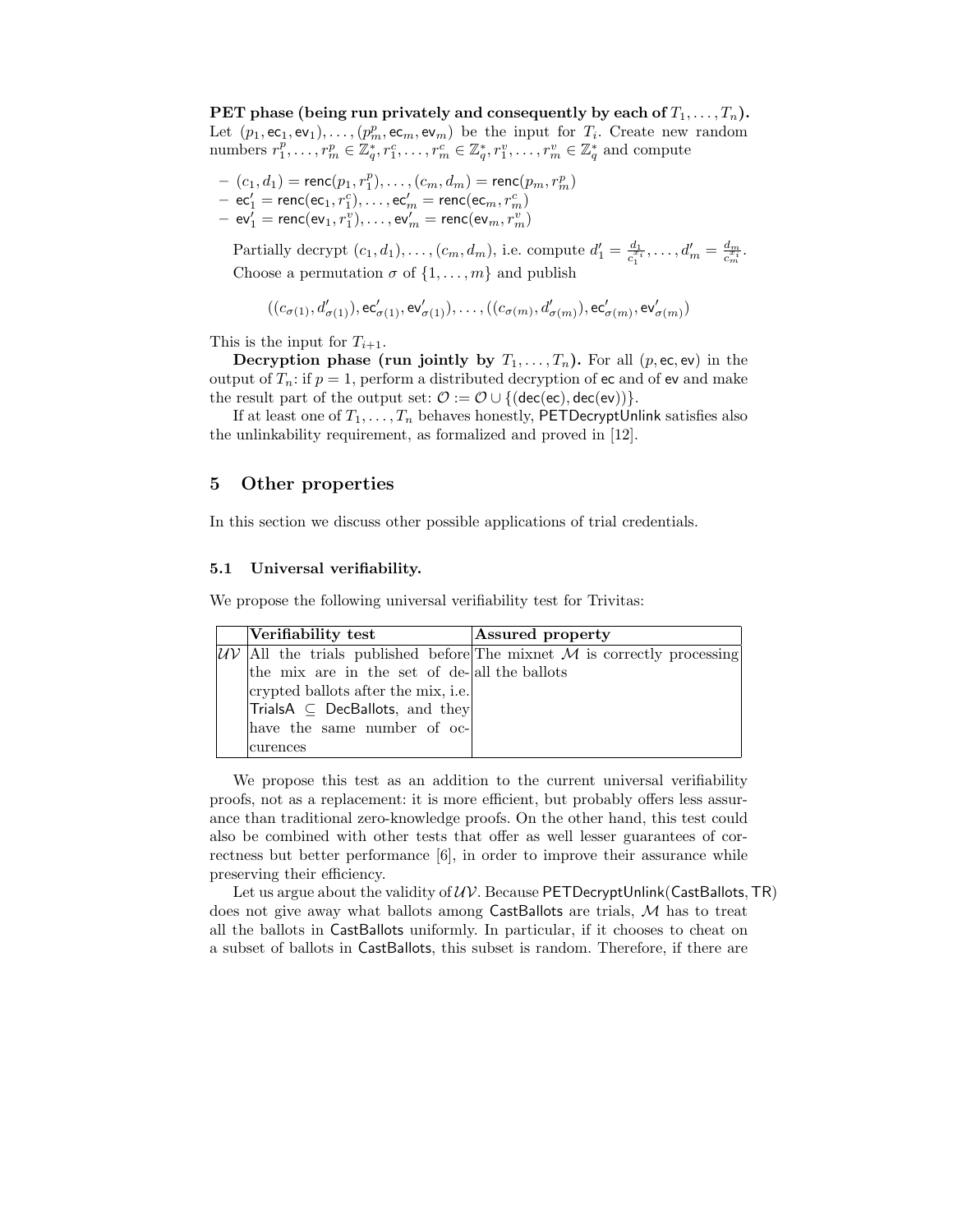PET phase (being run privately and consequently by each of  $T_1, \ldots, T_n$ ). Let  $(p_1, \text{ec}_1, \text{ev}_1), \ldots, (p_m^p, \text{ec}_m, \text{ev}_m)$  be the input for  $T_i$ . Create new random numbers  $r_1^p, \ldots, r_m^p \in \mathbb{Z}_q^*, r_1^c, \ldots, r_m^c \in \mathbb{Z}_q^*, r_1^v, \ldots, r_m^v \in \mathbb{Z}_q^*$  and compute

$$
- (c_1, d_1) = \text{renc}(p_1, r_1^p), \dots, (c_m, d_m) = \text{renc}(p_m, r_m^p)
$$

- $-$  ec'<sub>1</sub> = renc $(\mathrm{ec}_1, r_1^c), \ldots, \mathrm{ec}'_m = \mathrm{renc}(\mathrm{ec}_m, r_m^c)$
- $-$  ev'<sub>1</sub> = renc $\overrightarrow{(ev_1,v_1^v)}, \ldots, \overrightarrow{ev_m^v}$  = renc $\overrightarrow{(ev_m,v_m^v)}$

Partially decrypt  $(c_1, d_1), \ldots, (c_m, d_m)$ , i.e. compute  $d'_1 = \frac{d_1}{c_1^2}$  $\frac{d_1}{c_1^{\,x_i}},\ldots,d'_m=\frac{d_m}{c_m^{\,x_i}}$  $\frac{d_m}{c_m^{x_i}}.$ Choose a permutation  $\sigma$  of  $\{1,\ldots,m\}$  and publish

$$
((c_{\sigma(1)},d'_{\sigma(1)}),\mathsf{ec}'_{\sigma(1)},\mathsf{ev}'_{\sigma(1)}),\ldots, ((c_{\sigma(m)},d'_{\sigma(m)}),\mathsf{ec}'_{\sigma(m)},\mathsf{ev}'_{\sigma(m)})
$$

This is the input for  $T_{i+1}$ .

**Decryption phase (run jointly by**  $T_1, \ldots, T_n$ ). For all  $(p, ec, ev)$  in the output of  $T_n$ : if  $p = 1$ , perform a distributed decryption of ec and of ev and make the result part of the output set:  $\mathcal{O} := \mathcal{O} \cup \{(\mathsf{dec}(\mathsf{ec}), \mathsf{dec}(\mathsf{ev}))\}.$ 

If at least one of  $T_1, \ldots, T_n$  behaves honestly, PETDecryptUnlink satisfies also the unlinkability requirement, as formalized and proved in [12].

# 5 Other properties

In this section we discuss other possible applications of trial credentials.

#### 5.1 Universal verifiability.

We propose the following universal verifiability test for Trivitas:

|  | Verifiability test                           | Assured property                                                                   |
|--|----------------------------------------------|------------------------------------------------------------------------------------|
|  |                                              | $ {\cal UV} $ All the trials published before The mixnet M is correctly processing |
|  | the mix are in the set of de-all the ballots |                                                                                    |
|  | crypted ballots after the mix, i.e.          |                                                                                    |
|  | TrialsA $\subseteq$ DecBallots, and they     |                                                                                    |
|  | have the same number of oc-                  |                                                                                    |
|  | curences                                     |                                                                                    |

We propose this test as an addition to the current universal verifiability proofs, not as a replacement: it is more efficient, but probably offers less assurance than traditional zero-knowledge proofs. On the other hand, this test could also be combined with other tests that offer as well lesser guarantees of correctness but better performance [6], in order to improve their assurance while preserving their efficiency.

Let us argue about the validity of  $UV$ . Because PETDecryptUnlink(CastBallots, TR) does not give away what ballots among CastBallots are trials, M has to treat all the ballots in CastBallots uniformly. In particular, if it chooses to cheat on a subset of ballots in CastBallots, this subset is random. Therefore, if there are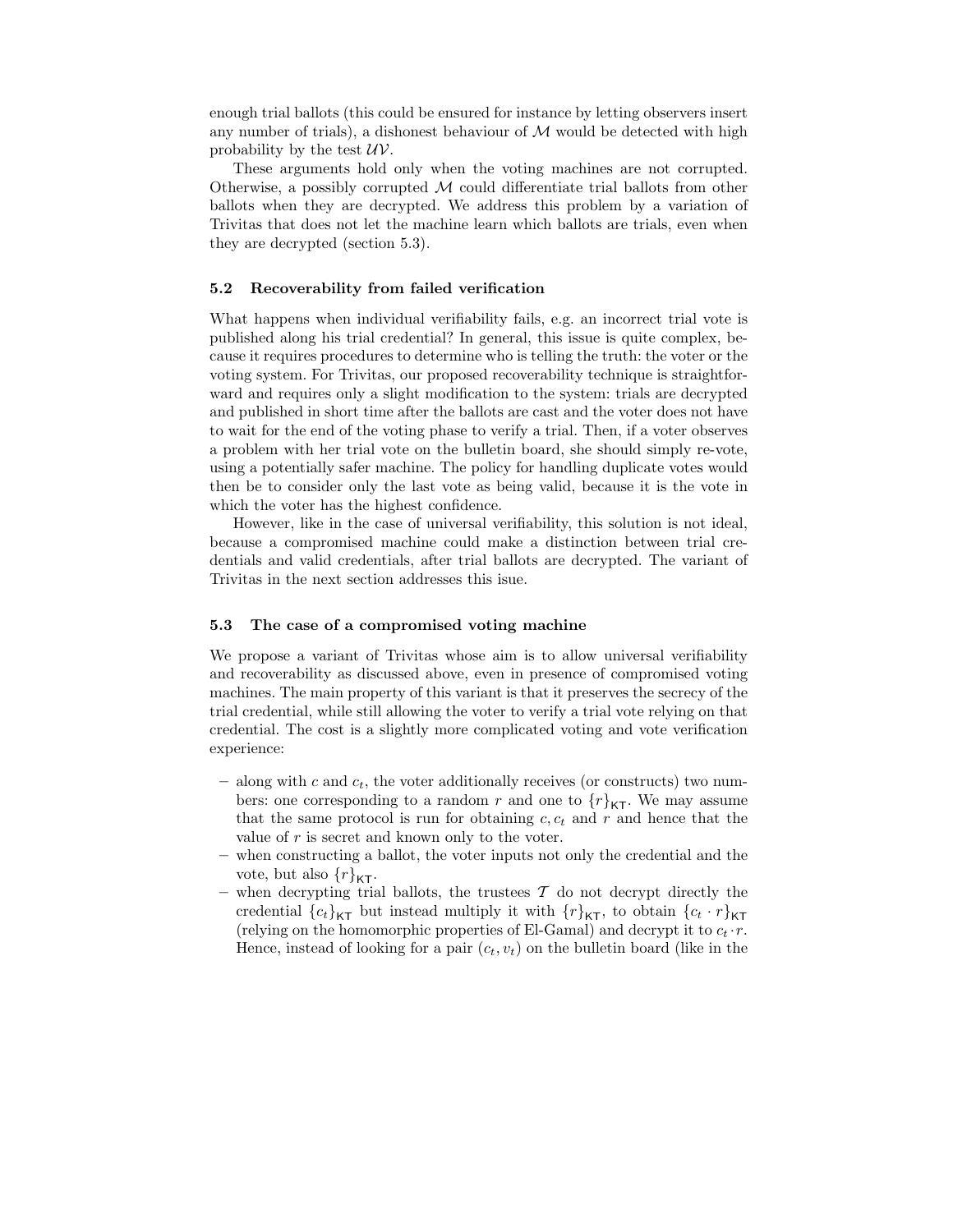enough trial ballots (this could be ensured for instance by letting observers insert any number of trials), a dishonest behaviour of  $\mathcal M$  would be detected with high probability by the test  $UV$ .

These arguments hold only when the voting machines are not corrupted. Otherwise, a possibly corrupted  $M$  could differentiate trial ballots from other ballots when they are decrypted. We address this problem by a variation of Trivitas that does not let the machine learn which ballots are trials, even when they are decrypted (section 5.3).

#### 5.2 Recoverability from failed verification

What happens when individual verifiability fails, e.g. an incorrect trial vote is published along his trial credential? In general, this issue is quite complex, because it requires procedures to determine who is telling the truth: the voter or the voting system. For Trivitas, our proposed recoverability technique is straightforward and requires only a slight modification to the system: trials are decrypted and published in short time after the ballots are cast and the voter does not have to wait for the end of the voting phase to verify a trial. Then, if a voter observes a problem with her trial vote on the bulletin board, she should simply re-vote, using a potentially safer machine. The policy for handling duplicate votes would then be to consider only the last vote as being valid, because it is the vote in which the voter has the highest confidence.

However, like in the case of universal verifiability, this solution is not ideal, because a compromised machine could make a distinction between trial credentials and valid credentials, after trial ballots are decrypted. The variant of Trivitas in the next section addresses this isue.

#### 5.3 The case of a compromised voting machine

We propose a variant of Trivitas whose aim is to allow universal verifiability and recoverability as discussed above, even in presence of compromised voting machines. The main property of this variant is that it preserves the secrecy of the trial credential, while still allowing the voter to verify a trial vote relying on that credential. The cost is a slightly more complicated voting and vote verification experience:

- along with c and  $c_t$ , the voter additionally receives (or constructs) two numbers: one corresponding to a random r and one to  ${r}_{\text{KT}}$ . We may assume that the same protocol is run for obtaining  $c, c_t$  and r and hence that the value of r is secret and known only to the voter.
- when constructing a ballot, the voter inputs not only the credential and the vote, but also  $\{r\}_{K\mathsf{T}}$ .
- when decrypting trial ballots, the trustees  $\mathcal T$  do not decrypt directly the credential  ${c_t}_{KT}$  but instead multiply it with  ${r}_{KT}$ , to obtain  ${c_t \cdot r}_{KT}$ (relying on the homomorphic properties of El-Gamal) and decrypt it to  $c_t \cdot r$ . Hence, instead of looking for a pair  $(c_t, v_t)$  on the bulletin board (like in the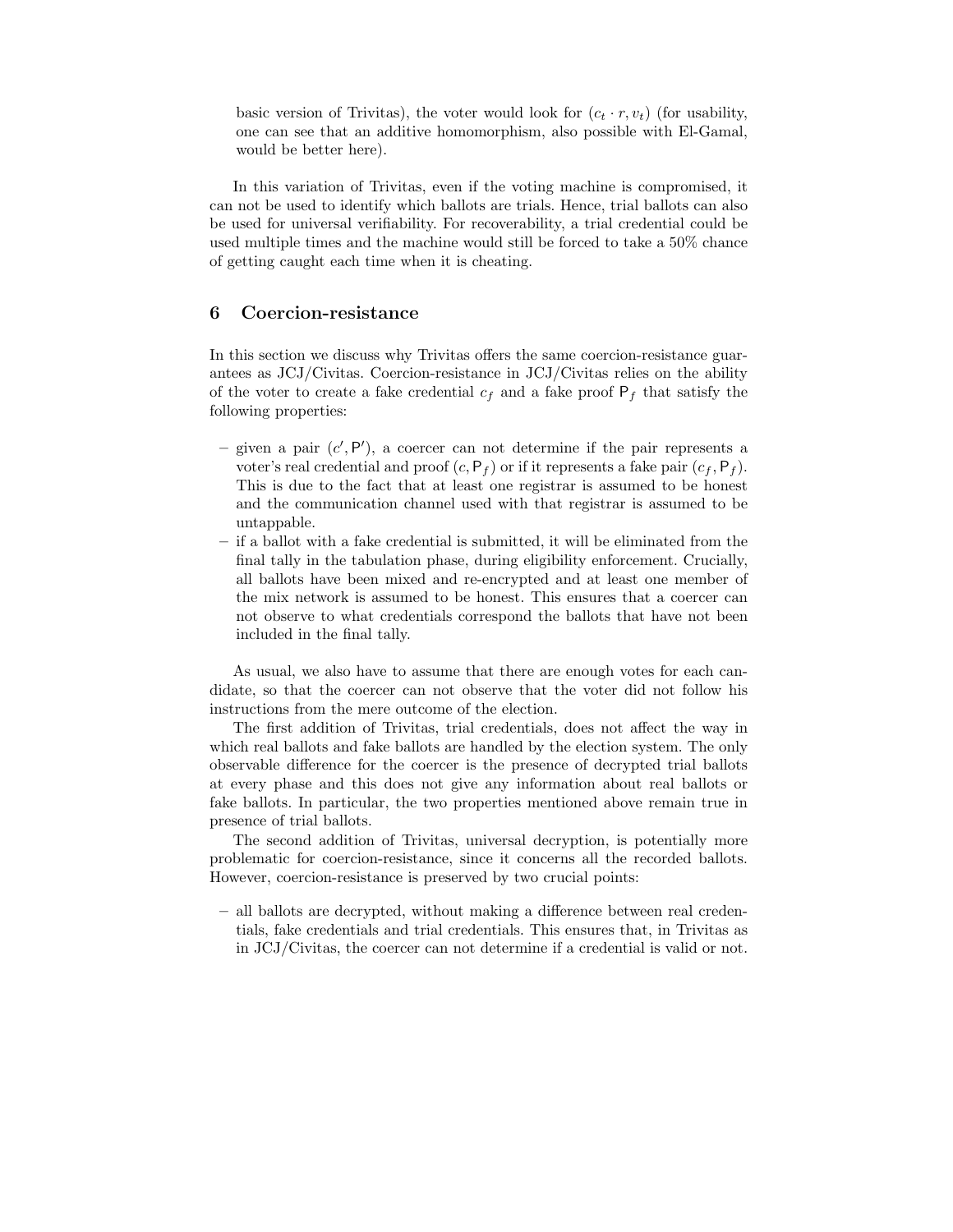basic version of Trivitas), the voter would look for  $(c_t \cdot r, v_t)$  (for usability, one can see that an additive homomorphism, also possible with El-Gamal, would be better here).

In this variation of Trivitas, even if the voting machine is compromised, it can not be used to identify which ballots are trials. Hence, trial ballots can also be used for universal verifiability. For recoverability, a trial credential could be used multiple times and the machine would still be forced to take a 50% chance of getting caught each time when it is cheating.

## 6 Coercion-resistance

In this section we discuss why Trivitas offers the same coercion-resistance guarantees as JCJ/Civitas. Coercion-resistance in JCJ/Civitas relies on the ability of the voter to create a fake credential  $c_f$  and a fake proof  $P_f$  that satisfy the following properties:

- given a pair  $(c', P')$ , a coercer can not determine if the pair represents a voter's real credential and proof  $(c, P_f)$  or if it represents a fake pair  $(c_f, P_f)$ . This is due to the fact that at least one registrar is assumed to be honest and the communication channel used with that registrar is assumed to be untappable.
- if a ballot with a fake credential is submitted, it will be eliminated from the final tally in the tabulation phase, during eligibility enforcement. Crucially, all ballots have been mixed and re-encrypted and at least one member of the mix network is assumed to be honest. This ensures that a coercer can not observe to what credentials correspond the ballots that have not been included in the final tally.

As usual, we also have to assume that there are enough votes for each candidate, so that the coercer can not observe that the voter did not follow his instructions from the mere outcome of the election.

The first addition of Trivitas, trial credentials, does not affect the way in which real ballots and fake ballots are handled by the election system. The only observable difference for the coercer is the presence of decrypted trial ballots at every phase and this does not give any information about real ballots or fake ballots. In particular, the two properties mentioned above remain true in presence of trial ballots.

The second addition of Trivitas, universal decryption, is potentially more problematic for coercion-resistance, since it concerns all the recorded ballots. However, coercion-resistance is preserved by two crucial points:

– all ballots are decrypted, without making a difference between real credentials, fake credentials and trial credentials. This ensures that, in Trivitas as in JCJ/Civitas, the coercer can not determine if a credential is valid or not.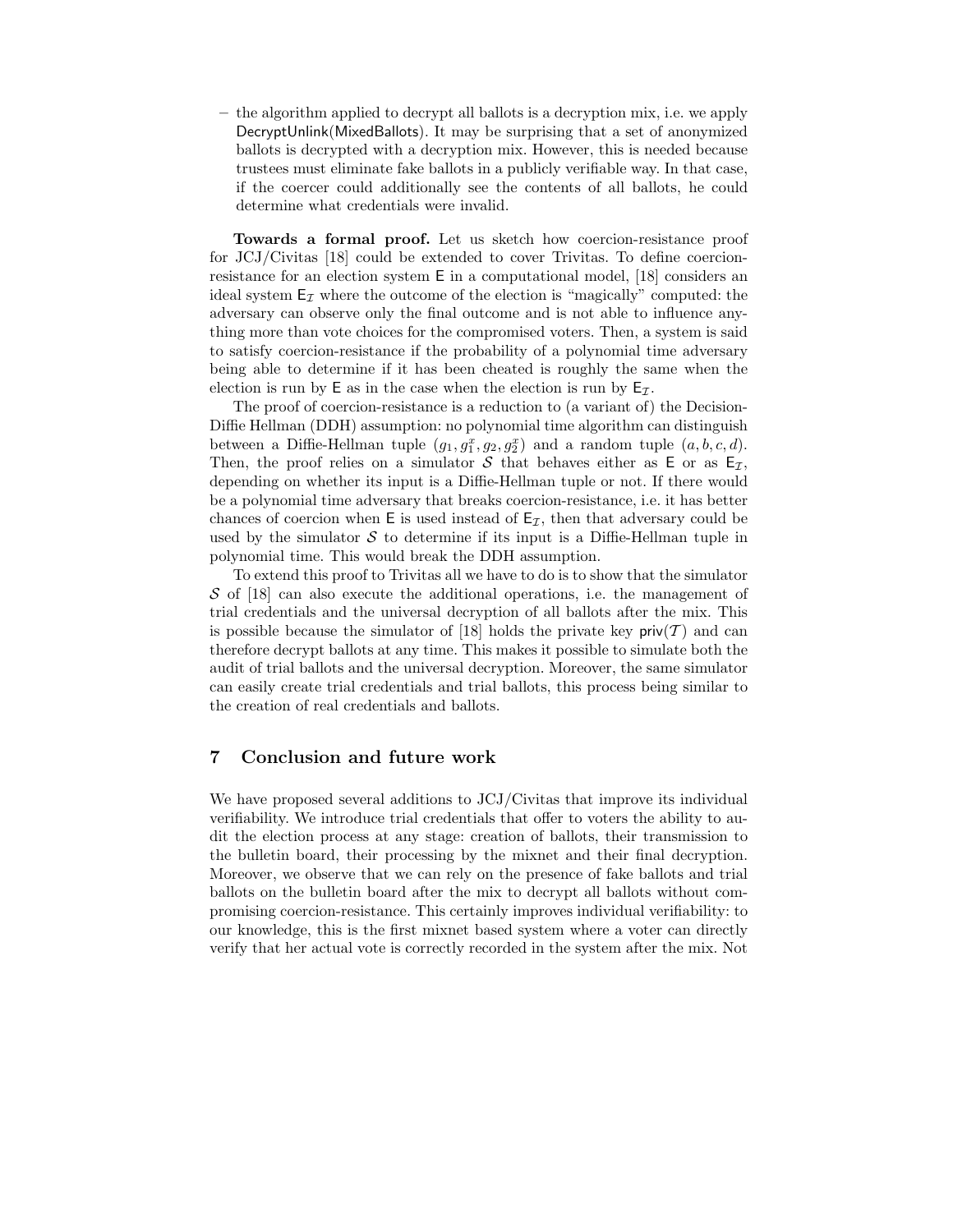– the algorithm applied to decrypt all ballots is a decryption mix, i.e. we apply DecryptUnlink(MixedBallots). It may be surprising that a set of anonymized ballots is decrypted with a decryption mix. However, this is needed because trustees must eliminate fake ballots in a publicly verifiable way. In that case, if the coercer could additionally see the contents of all ballots, he could determine what credentials were invalid.

Towards a formal proof. Let us sketch how coercion-resistance proof for JCJ/Civitas [18] could be extended to cover Trivitas. To define coercionresistance for an election system E in a computational model, [18] considers an ideal system  $E_{\mathcal{I}}$  where the outcome of the election is "magically" computed: the adversary can observe only the final outcome and is not able to influence anything more than vote choices for the compromised voters. Then, a system is said to satisfy coercion-resistance if the probability of a polynomial time adversary being able to determine if it has been cheated is roughly the same when the election is run by E as in the case when the election is run by  $E_{\mathcal{I}}$ .

The proof of coercion-resistance is a reduction to (a variant of) the Decision-Diffie Hellman (DDH) assumption: no polynomial time algorithm can distinguish between a Diffie-Hellman tuple  $(g_1, g_1^x, g_2, g_2^x)$  and a random tuple  $(a, b, c, d)$ . Then, the proof relies on a simulator S that behaves either as E or as  $E_{\mathcal{I}}$ , depending on whether its input is a Diffie-Hellman tuple or not. If there would be a polynomial time adversary that breaks coercion-resistance, i.e. it has better chances of coercion when E is used instead of  $E_{\mathcal{I}}$ , then that adversary could be used by the simulator  $S$  to determine if its input is a Diffie-Hellman tuple in polynomial time. This would break the DDH assumption.

To extend this proof to Trivitas all we have to do is to show that the simulator S of [18] can also execute the additional operations, i.e. the management of trial credentials and the universal decryption of all ballots after the mix. This is possible because the simulator of [18] holds the private key  $\text{priv}(\mathcal{T})$  and can therefore decrypt ballots at any time. This makes it possible to simulate both the audit of trial ballots and the universal decryption. Moreover, the same simulator can easily create trial credentials and trial ballots, this process being similar to the creation of real credentials and ballots.

# 7 Conclusion and future work

We have proposed several additions to JCJ/Civitas that improve its individual verifiability. We introduce trial credentials that offer to voters the ability to audit the election process at any stage: creation of ballots, their transmission to the bulletin board, their processing by the mixnet and their final decryption. Moreover, we observe that we can rely on the presence of fake ballots and trial ballots on the bulletin board after the mix to decrypt all ballots without compromising coercion-resistance. This certainly improves individual verifiability: to our knowledge, this is the first mixnet based system where a voter can directly verify that her actual vote is correctly recorded in the system after the mix. Not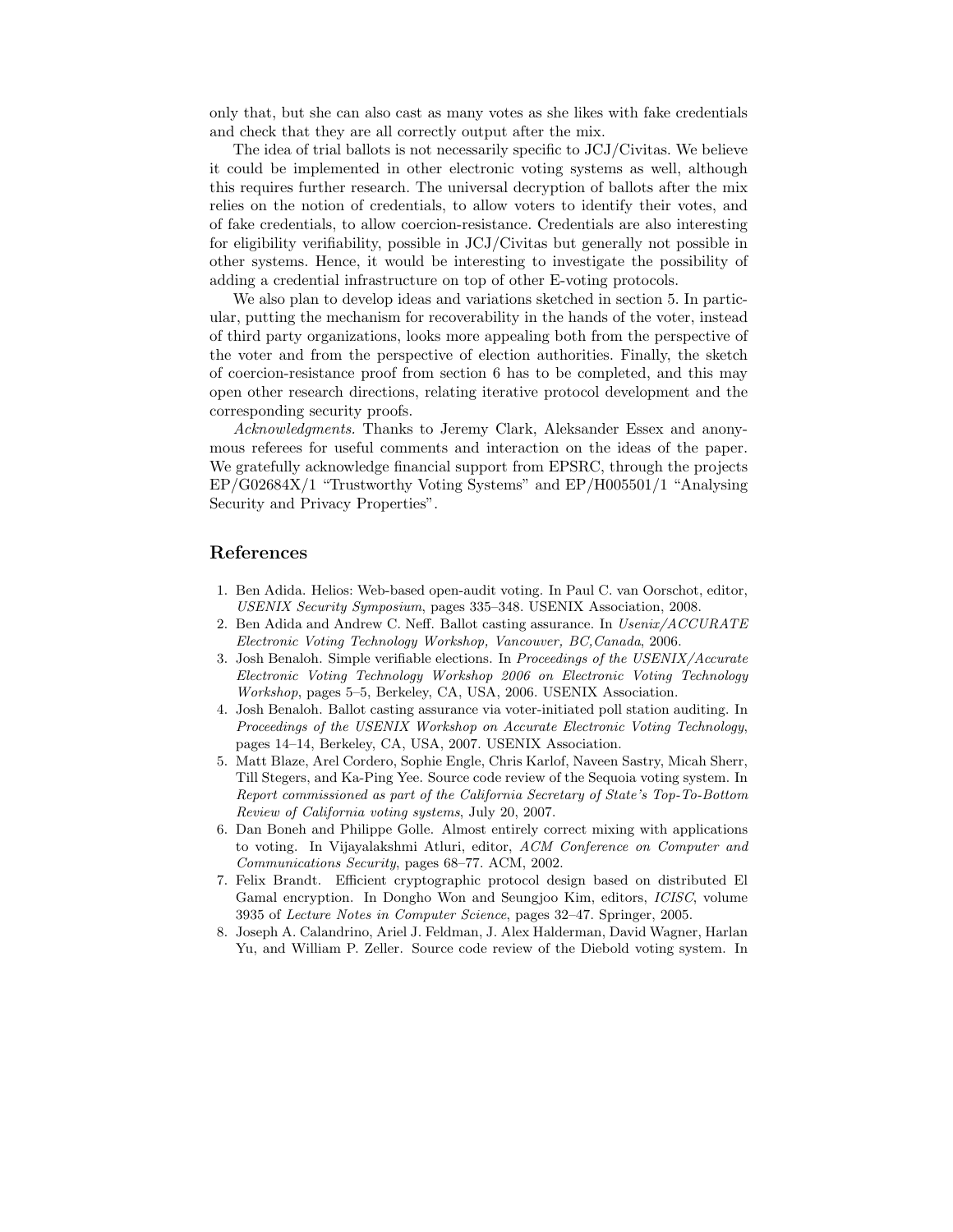only that, but she can also cast as many votes as she likes with fake credentials and check that they are all correctly output after the mix.

The idea of trial ballots is not necessarily specific to JCJ/Civitas. We believe it could be implemented in other electronic voting systems as well, although this requires further research. The universal decryption of ballots after the mix relies on the notion of credentials, to allow voters to identify their votes, and of fake credentials, to allow coercion-resistance. Credentials are also interesting for eligibility verifiability, possible in JCJ/Civitas but generally not possible in other systems. Hence, it would be interesting to investigate the possibility of adding a credential infrastructure on top of other E-voting protocols.

We also plan to develop ideas and variations sketched in section 5. In particular, putting the mechanism for recoverability in the hands of the voter, instead of third party organizations, looks more appealing both from the perspective of the voter and from the perspective of election authorities. Finally, the sketch of coercion-resistance proof from section 6 has to be completed, and this may open other research directions, relating iterative protocol development and the corresponding security proofs.

Acknowledgments. Thanks to Jeremy Clark, Aleksander Essex and anonymous referees for useful comments and interaction on the ideas of the paper. We gratefully acknowledge financial support from EPSRC, through the projects EP/G02684X/1 "Trustworthy Voting Systems" and EP/H005501/1 "Analysing Security and Privacy Properties".

#### References

- 1. Ben Adida. Helios: Web-based open-audit voting. In Paul C. van Oorschot, editor, USENIX Security Symposium, pages 335–348. USENIX Association, 2008.
- 2. Ben Adida and Andrew C. Neff. Ballot casting assurance. In *Usenix/ACCURATE* Electronic Voting Technology Workshop, Vancouver, BC,Canada, 2006.
- 3. Josh Benaloh. Simple verifiable elections. In Proceedings of the USENIX/Accurate Electronic Voting Technology Workshop 2006 on Electronic Voting Technology Workshop, pages 5–5, Berkeley, CA, USA, 2006. USENIX Association.
- 4. Josh Benaloh. Ballot casting assurance via voter-initiated poll station auditing. In Proceedings of the USENIX Workshop on Accurate Electronic Voting Technology, pages 14–14, Berkeley, CA, USA, 2007. USENIX Association.
- 5. Matt Blaze, Arel Cordero, Sophie Engle, Chris Karlof, Naveen Sastry, Micah Sherr, Till Stegers, and Ka-Ping Yee. Source code review of the Sequoia voting system. In Report commissioned as part of the California Secretary of State's Top-To-Bottom Review of California voting systems, July 20, 2007.
- 6. Dan Boneh and Philippe Golle. Almost entirely correct mixing with applications to voting. In Vijayalakshmi Atluri, editor, ACM Conference on Computer and Communications Security, pages 68–77. ACM, 2002.
- 7. Felix Brandt. Efficient cryptographic protocol design based on distributed El Gamal encryption. In Dongho Won and Seungjoo Kim, editors, ICISC, volume 3935 of Lecture Notes in Computer Science, pages 32–47. Springer, 2005.
- 8. Joseph A. Calandrino, Ariel J. Feldman, J. Alex Halderman, David Wagner, Harlan Yu, and William P. Zeller. Source code review of the Diebold voting system. In